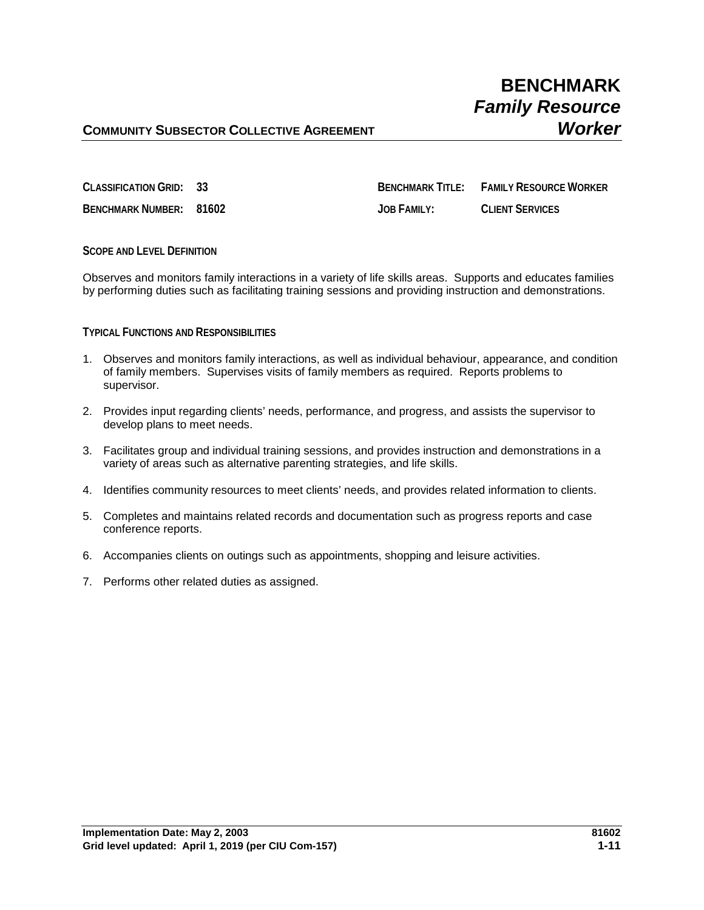# **BENCHMARK** *Family Resource*

## **COMMUNITY SUBSECTOR COLLECTIVE AGREEMENT** *Worker*

**CLASSIFICATION GRID: 33 BENCHMARK TITLE: FAMILY RESOURCE WORKER BENCHMARK NUMBER: 81602 JOB FAMILY: CLIENT SERVICES**

**SCOPE AND LEVEL DEFINITION**

Observes and monitors family interactions in a variety of life skills areas. Supports and educates families by performing duties such as facilitating training sessions and providing instruction and demonstrations.

### **TYPICAL FUNCTIONS AND RESPONSIBILITIES**

- 1. Observes and monitors family interactions, as well as individual behaviour, appearance, and condition of family members. Supervises visits of family members as required. Reports problems to supervisor.
- 2. Provides input regarding clients' needs, performance, and progress, and assists the supervisor to develop plans to meet needs.
- 3. Facilitates group and individual training sessions, and provides instruction and demonstrations in a variety of areas such as alternative parenting strategies, and life skills.
- 4. Identifies community resources to meet clients' needs, and provides related information to clients.
- 5. Completes and maintains related records and documentation such as progress reports and case conference reports.
- 6. Accompanies clients on outings such as appointments, shopping and leisure activities.
- 7. Performs other related duties as assigned.